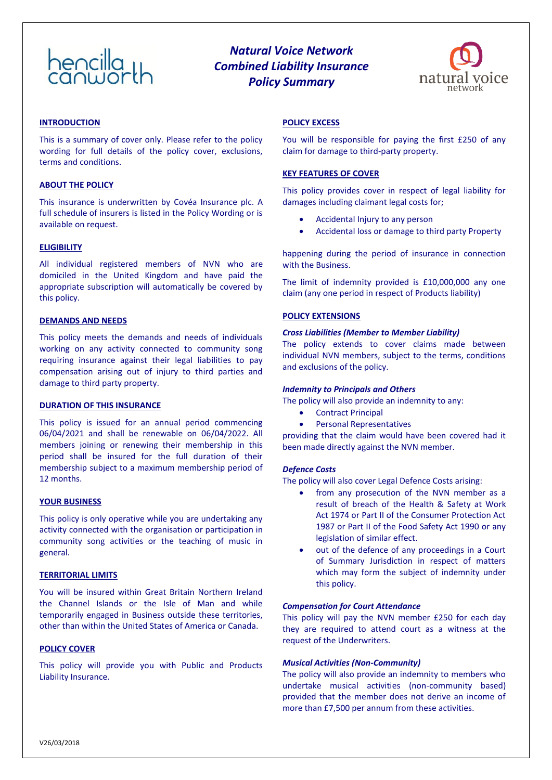# $h$ encilla

# *Natural Voice Network Combined Liability Insurance Policy Summary*



## **INTRODUCTION**

This is a summary of cover only. Please refer to the policy wording for full details of the policy cover, exclusions, terms and conditions.

#### **ABOUT THE POLICY**

This insurance is underwritten by Covéa Insurance plc. A full schedule of insurers is listed in the Policy Wording or is available on request.

#### **ELIGIBILITY**

All individual registered members of NVN who are domiciled in the United Kingdom and have paid the appropriate subscription will automatically be covered by this policy.

# **DEMANDS AND NEEDS**

This policy meets the demands and needs of individuals working on any activity connected to community song requiring insurance against their legal liabilities to pay compensation arising out of injury to third parties and damage to third party property.

#### **DURATION OF THIS INSURANCE**

This policy is issued for an annual period commencing 06/04/2021 and shall be renewable on 06/04/2022. All members joining or renewing their membership in this period shall be insured for the full duration of their membership subject to a maximum membership period of 12 months.

#### **YOUR BUSINESS**

This policy is only operative while you are undertaking any activity connected with the organisation or participation in community song activities or the teaching of music in general.

#### **TERRITORIAL LIMITS**

You will be insured within Great Britain Northern Ireland the Channel Islands or the Isle of Man and while temporarily engaged in Business outside these territories, other than within the United States of America or Canada.

# **POLICY COVER**

This policy will provide you with Public and Products Liability Insurance.

# **POLICY EXCESS**

You will be responsible for paying the first £250 of any claim for damage to third-party property.

#### **KEY FEATURES OF COVER**

This policy provides cover in respect of legal liability for damages including claimant legal costs for;

- Accidental Injury to any person
- Accidental loss or damage to third party Property

happening during the period of insurance in connection with the Business.

The limit of indemnity provided is £10,000,000 any one claim (any one period in respect of Products liability)

# **POLICY EXTENSIONS**

#### *Cross Liabilities (Member to Member Liability)*

The policy extends to cover claims made between individual NVN members, subject to the terms, conditions and exclusions of the policy.

#### *Indemnity to Principals and Others*

The policy will also provide an indemnity to any:

- Contract Principal
- Personal Representatives

providing that the claim would have been covered had it been made directly against the NVN member.

# *Defence Costs*

The policy will also cover Legal Defence Costs arising:

- from any prosecution of the NVN member as a result of breach of the Health & Safety at Work Act 1974 or Part II of the Consumer Protection Act 1987 or Part II of the Food Safety Act 1990 or any legislation of similar effect.
- out of the defence of any proceedings in a Court of Summary Jurisdiction in respect of matters which may form the subject of indemnity under this policy.

#### *Compensation for Court Attendance*

This policy will pay the NVN member £250 for each day they are required to attend court as a witness at the request of the Underwriters.

#### *Musical Activities (Non-Community)*

The policy will also provide an indemnity to members who undertake musical activities (non-community based) provided that the member does not derive an income of more than £7,500 per annum from these activities.